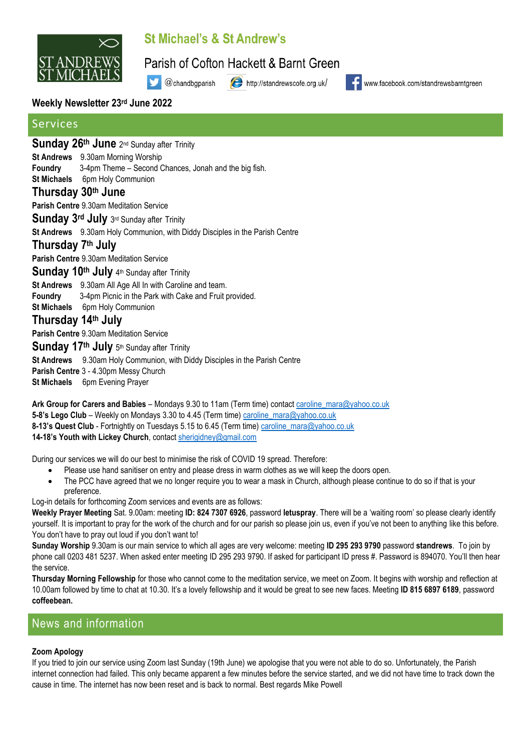

# St Michael's & St Andrew's

Parish of Cofton Hackett & Barnt Green

@chandbgparish

http://standrewscofe.org.uk/



www.facebook.com/standrewsbarntgreen

### **Weekly Newsletter 23rd June 2022**

# Services

Sunday 26<sup>th</sup> June 2<sup>nd</sup> Sunday after Trinity

**St Andrews** 9.30am Morning Worship

**Foundry** 3-4pm Theme – Second Chances, Jonah and the big fish.

**St Michaels** 6pm Holy Communion

### **Thursday 30th June**

**Parish Centre** 9.30am Meditation Service

Sunday 3rd July 3rd Sunday after Trinity

**St Andrews** 9.30am Holy Communion, with Diddy Disciples in the Parish Centre

## **Thursday 7 th July**

**Parish Centre** 9.30am Meditation Service

Sunday 10<sup>th</sup> July 4<sup>th</sup> Sunday after Trinity

**St Andrews** 9.30am All Age All In with Caroline and team. **Foundry** 3-4pm Picnic in the Park with Cake and Fruit provided. **St Michaels** 6pm Holy Communion

# **Thursday 14th July**

**Parish Centre** 9.30am Meditation Service

Sunday 17<sup>th</sup> July 5<sup>th</sup> Sunday after Trinity **St Andrews** 9.30am Holy Communion, with Diddy Disciples in the Parish Centre **Parish Centre** 3 - 4.30pm Messy Church **St Michaels** 6pm Evening Prayer

**Ark Group for Carers and Babies** – Mondays 9.30 to 11am (Term time) contac[t caroline\\_mara@yahoo.co.uk](mailto:caroline_mara@yahoo.co.uk) **5-8's Lego Club** – Weekly on Mondays 3.30 to 4.45 (Term time) [caroline\\_mara@yahoo.co.uk](mailto:caroline_mara@yahoo.co.uk) **8-13's Quest Club** - Fortnightly on Tuesdays 5.15 to 6.45 (Term time) [caroline\\_mara@yahoo.co.uk](mailto:caroline_mara@yahoo.co.uk) **14-18's Youth with Lickey Church**, contact [sherigidney@gmail.com](mailto:sherigidney@gmail.com)

During our services we will do our best to minimise the risk of COVID 19 spread. Therefore:

- Please use hand sanitiser on entry and please dress in warm clothes as we will keep the doors open.
- The PCC have agreed that we no longer require you to wear a mask in Church, although please continue to do so if that is your preference.

Log-in details for forthcoming Zoom services and events are as follows:

**Weekly Prayer Meeting** Sat. 9.00am: meeting **ID: 824 7307 6926**, password **letuspray**. There will be a 'waiting room' so please clearly identify yourself. It is important to pray for the work of the church and for our parish so please join us, even if you've not been to anything like this before. You don't have to pray out loud if you don't want to!

**Sunday Worship** 9.30am is our main service to which all ages are very welcome: meeting **ID 295 293 9790** password **standrews**. To join by phone call 0203 481 5237. When asked enter meeting ID 295 293 9790. If asked for participant ID press #. Password is 894070. You'll then hear the service.

**Thursday Morning Fellowship** for those who cannot come to the meditation service, we meet on Zoom. It begins with worship and reflection at 10.00am followed by time to chat at 10.30. It's a lovely fellowship and it would be great to see new faces. Meeting **ID 815 6897 6189**, password **coffeebean.**

# News and information

#### **Zoom Apology**

If you tried to join our service using Zoom last Sunday (19th June) we apologise that you were not able to do so. Unfortunately, the Parish internet connection had failed. This only became apparent a few minutes before the service started, and we did not have time to track down the cause in time. The internet has now been reset and is back to normal. Best regards Mike Powell